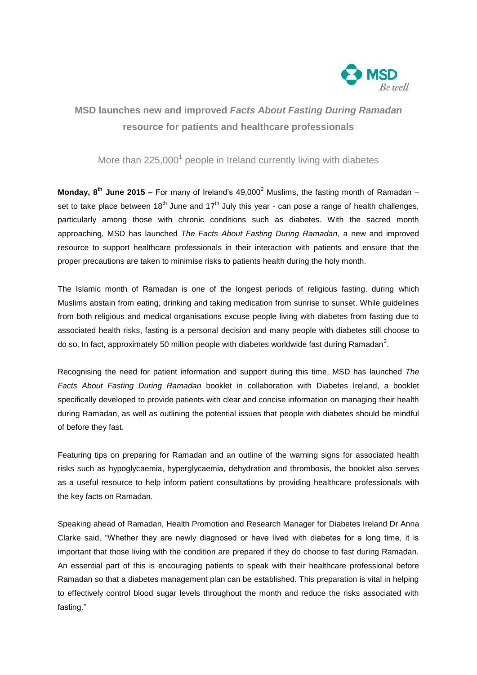

# **MSD launches new and improved** *Facts About Fasting During Ramadan* **resource for patients and healthcare professionals**

# More than 225,000<sup>1</sup> people in Ireland currently living with diabetes

**Monday, 8<sup>th</sup> June 2015 –** For many of Ireland's 49,000<sup>2</sup> Muslims, the fasting month of Ramadan – set to take place between  $18<sup>th</sup>$  June and  $17<sup>th</sup>$  July this year - can pose a range of health challenges, particularly among those with chronic conditions such as diabetes. With the sacred month approaching, MSD has launched *The Facts About Fasting During Ramadan*, a new and improved resource to support healthcare professionals in their interaction with patients and ensure that the proper precautions are taken to minimise risks to patients health during the holy month.

The Islamic month of Ramadan is one of the longest periods of religious fasting, during which Muslims abstain from eating, drinking and taking medication from sunrise to sunset. While guidelines from both religious and medical organisations excuse people living with diabetes from fasting due to associated health risks, fasting is a personal decision and many people with diabetes still choose to do so. In fact, approximately 50 million people with diabetes worldwide fast during Ramadan<sup>3</sup>.

Recognising the need for patient information and support during this time, MSD has launched *The Facts About Fasting During Ramadan* booklet in collaboration with Diabetes Ireland, a booklet specifically developed to provide patients with clear and concise information on managing their health during Ramadan, as well as outlining the potential issues that people with diabetes should be mindful of before they fast.

Featuring tips on preparing for Ramadan and an outline of the warning signs for associated health risks such as hypoglycaemia, hyperglycaemia, dehydration and thrombosis, the booklet also serves as a useful resource to help inform patient consultations by providing healthcare professionals with the key facts on Ramadan.

Speaking ahead of Ramadan, Health Promotion and Research Manager for Diabetes Ireland Dr Anna Clarke said, "Whether they are newly diagnosed or have lived with diabetes for a long time, it is important that those living with the condition are prepared if they do choose to fast during Ramadan. An essential part of this is encouraging patients to speak with their healthcare professional before Ramadan so that a diabetes management plan can be established. This preparation is vital in helping to effectively control blood sugar levels throughout the month and reduce the risks associated with fasting."